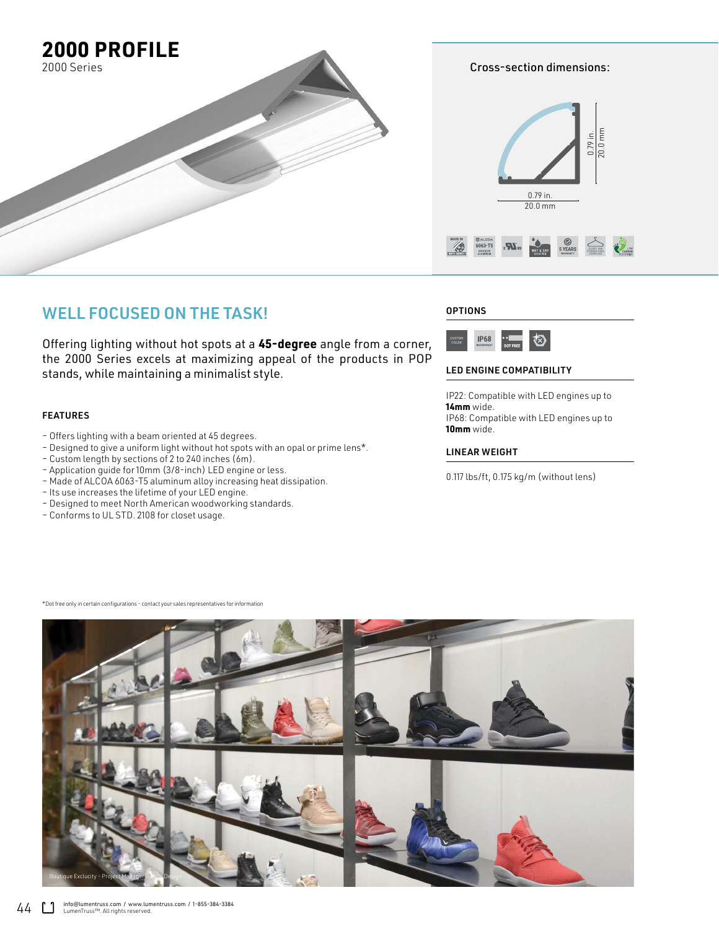

### WELL FOCUSED ON THE TASK!

Offering lighting without hot spots at a **45-degree** angle from a corner, the 2000 Series excels at maximizing appeal of the products in POP stands, while maintaining a minimalist style.

#### FEATURES

- Offers lighting with a beam oriented at 45 degrees.
- Designed to give a uniform light without hot spots with an opal or prime lens\*.
- Custom length by sections of 2 to 240 inches (6m).
- Application guide for 10mm (3/8-inch) LED engine or less.
- Made of ALCOA 6063-T5 aluminum alloy increasing heat dissipation.
- Its use increases the lifetime of your LED engine.
- Designed to meet North American woodworking standards.
- Conforms to UL STD. 2108 for closet usage.

#### **OPTIONS**



#### LED ENGINE COMPATIBILITY

IP22: Compatible with LED engines up to **14mm** wide. IP68: Compatible with LED engines up to **10mm** wide.

#### LINEAR WEIGHT

\*Dot free only in certain configurations - contact your sales representatives for information